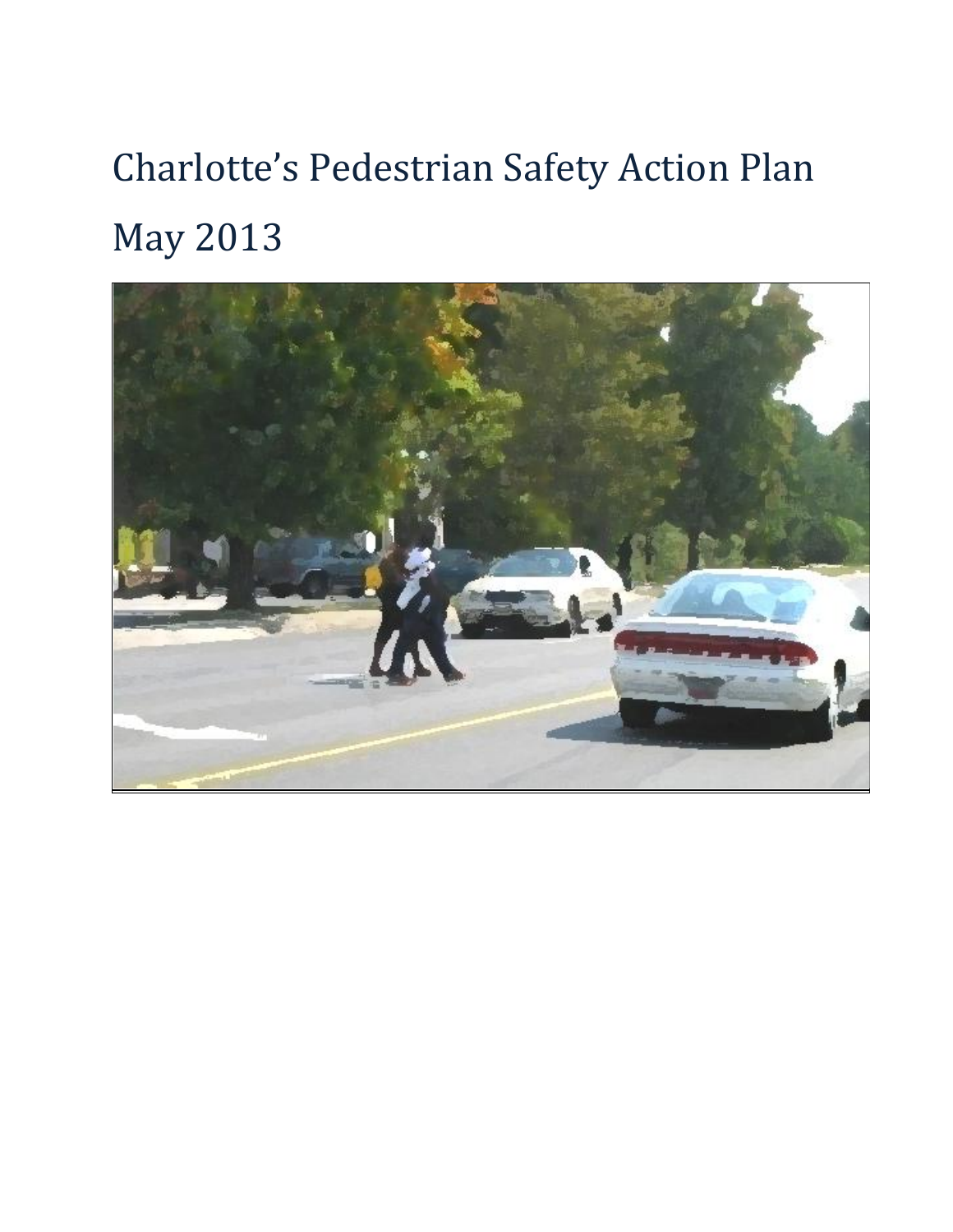# Charlotte's Pedestrian Safety Action Plan May 2013

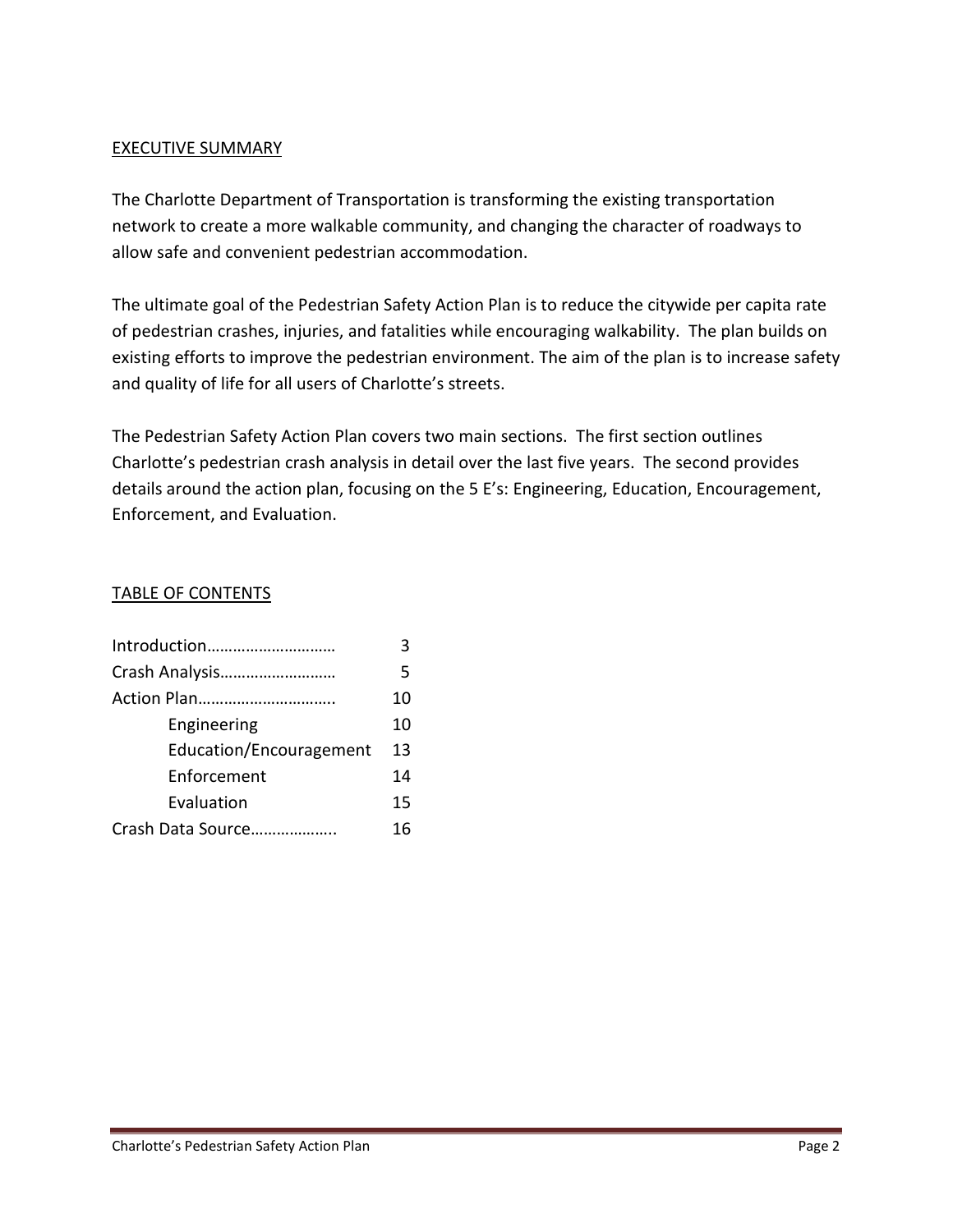#### EXECUTIVE SUMMARY

The Charlotte Department of Transportation is transforming the existing transportation network to create a more walkable community, and changing the character of roadways to allow safe and convenient pedestrian accommodation.

The ultimate goal of the Pedestrian Safety Action Plan is to reduce the citywide per capita rate of pedestrian crashes, injuries, and fatalities while encouraging walkability. The plan builds on existing efforts to improve the pedestrian environment. The aim of the plan is to increase safety and quality of life for all users of Charlotte's streets.

The Pedestrian Safety Action Plan covers two main sections. The first section outlines Charlotte's pedestrian crash analysis in detail over the last five years. The second provides details around the action plan, focusing on the 5 E's: Engineering, Education, Encouragement, Enforcement, and Evaluation.

#### TABLE OF CONTENTS

| ς  |
|----|
| 5  |
| 10 |
| 10 |
| 13 |
| 14 |
| 15 |
| 16 |
|    |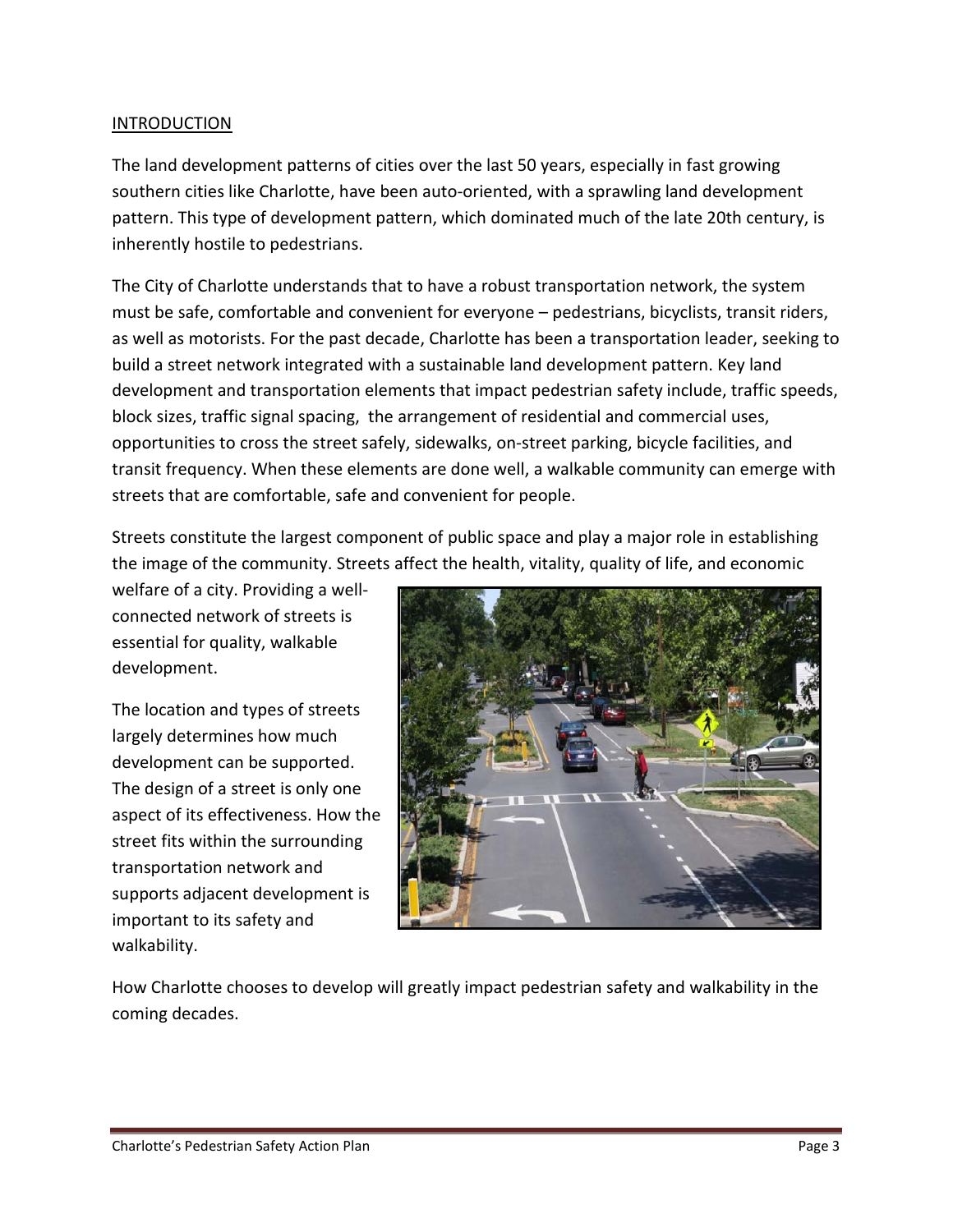#### INTRODUCTION

The land development patterns of cities over the last 50 years, especially in fast growing southern cities like Charlotte, have been auto-oriented, with a sprawling land development pattern. This type of development pattern, which dominated much of the late 20th century, is inherently hostile to pedestrians.

The City of Charlotte understands that to have a robust transportation network, the system must be safe, comfortable and convenient for everyone – pedestrians, bicyclists, transit riders, as well as motorists. For the past decade, Charlotte has been a transportation leader, seeking to build a street network integrated with a sustainable land development pattern. Key land development and transportation elements that impact pedestrian safety include, traffic speeds, block sizes, traffic signal spacing, the arrangement of residential and commercial uses, opportunities to cross the street safely, sidewalks, on-street parking, bicycle facilities, and transit frequency. When these elements are done well, a walkable community can emerge with streets that are comfortable, safe and convenient for people.

Streets constitute the largest component of public space and play a major role in establishing the image of the community. Streets affect the health, vitality, quality of life, and economic

welfare of a city. Providing a wellconnected network of streets is essential for quality, walkable development.

The location and types of streets largely determines how much development can be supported. The design of a street is only one aspect of its effectiveness. How the street fits within the surrounding transportation network and supports adjacent development is important to its safety and walkability.



How Charlotte chooses to develop will greatly impact pedestrian safety and walkability in the coming decades.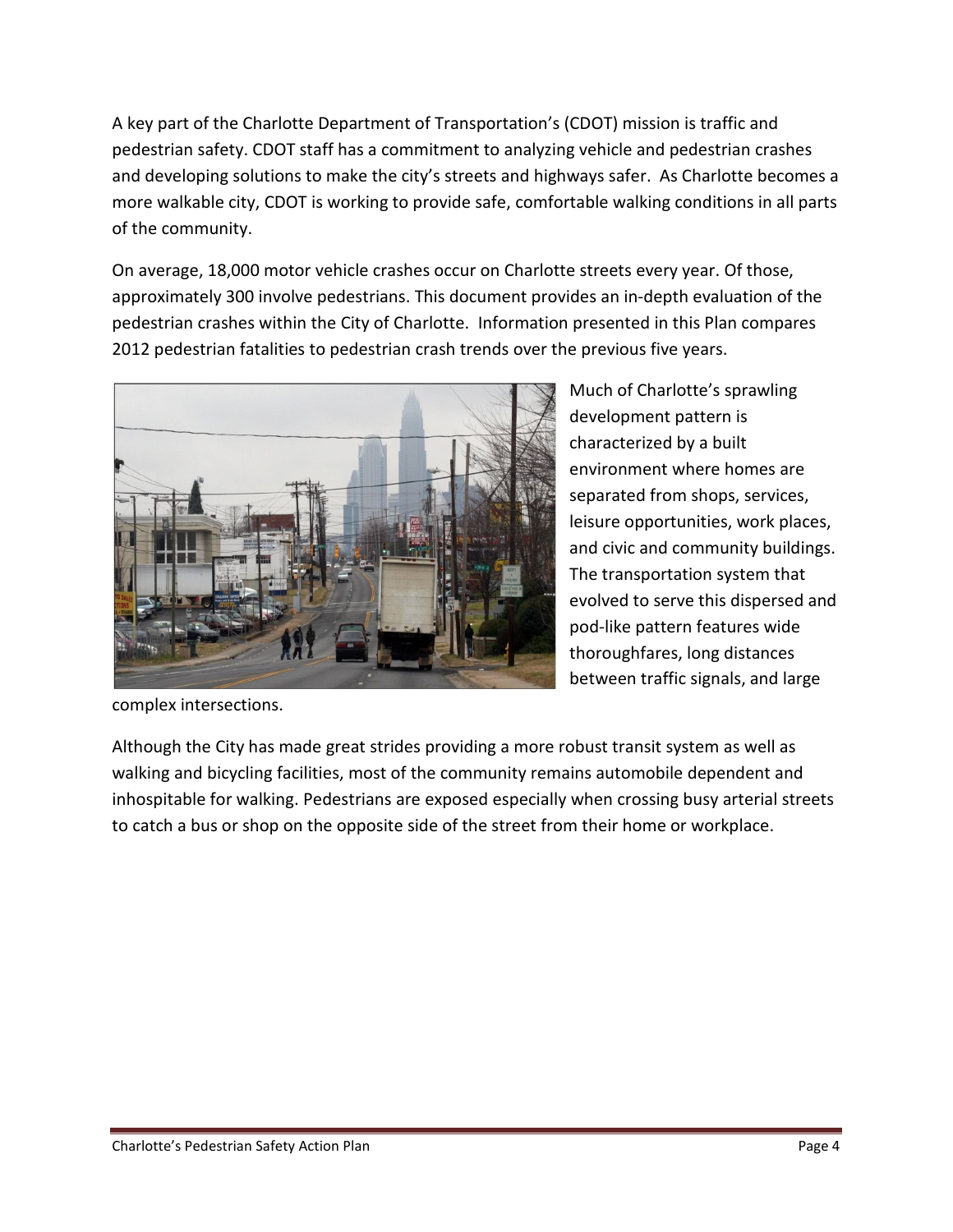A key part of the Charlotte Department of Transportation's (CDOT) mission is traffic and pedestrian safety. CDOT staff has a commitment to analyzing vehicle and pedestrian crashes and developing solutions to make the city's streets and highways safer. As Charlotte becomes a more walkable city, CDOT is working to provide safe, comfortable walking conditions in all parts of the community.

On average, 18,000 motor vehicle crashes occur on Charlotte streets every year. Of those, approximately 300 involve pedestrians. This document provides an in-depth evaluation of the pedestrian crashes within the City of Charlotte. Information presented in this Plan compares 2012 pedestrian fatalities to pedestrian crash trends over the previous five years.



Much of Charlotte's sprawling development pattern is characterized by a built environment where homes are separated from shops, services, leisure opportunities, work places, and civic and community buildings. The transportation system that evolved to serve this dispersed and pod-like pattern features wide thoroughfares, long distances between traffic signals, and large

complex intersections.

Although the City has made great strides providing a more robust transit system as well as walking and bicycling facilities, most of the community remains automobile dependent and inhospitable for walking. Pedestrians are exposed especially when crossing busy arterial streets to catch a bus or shop on the opposite side of the street from their home or workplace.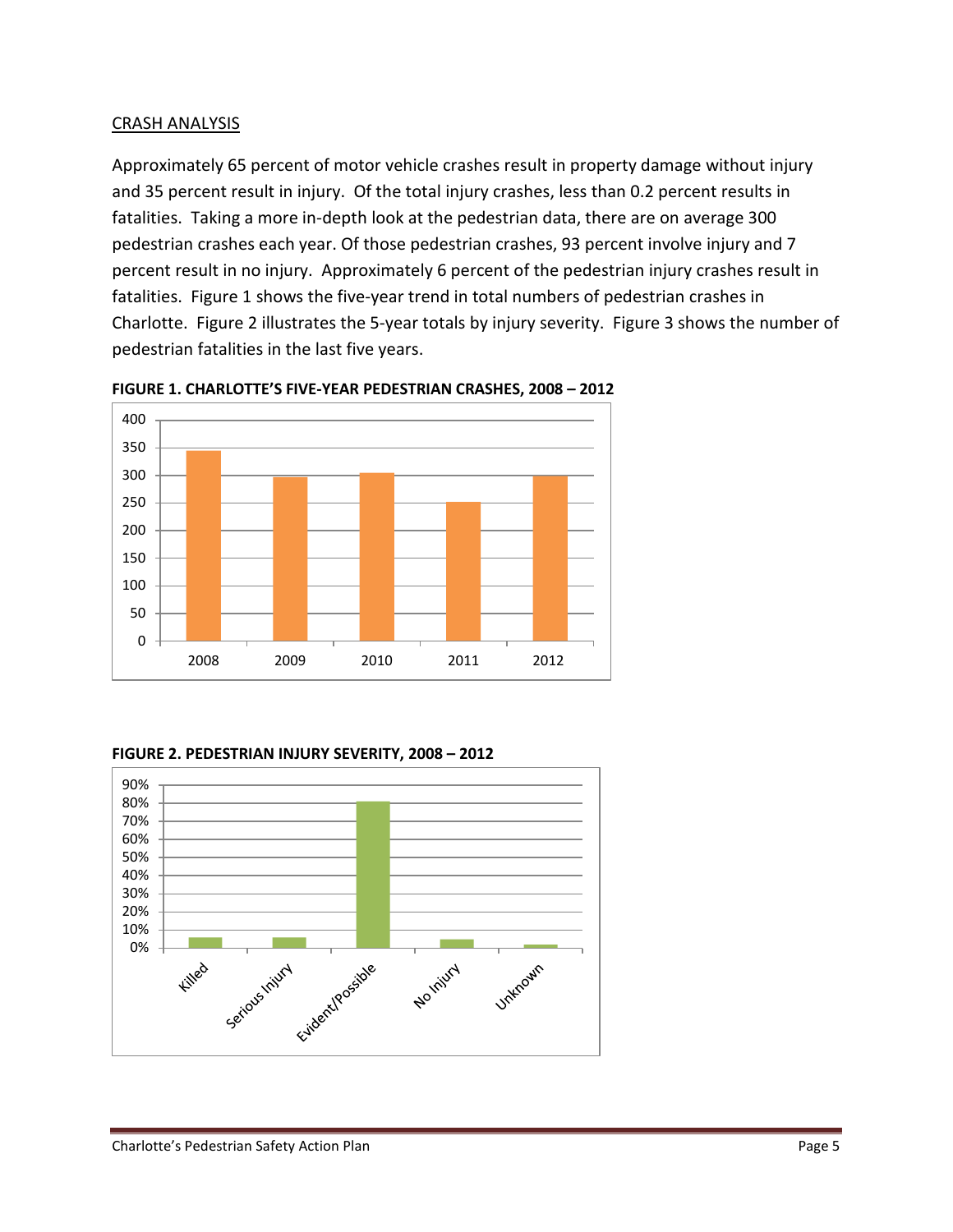#### CRASH ANALYSIS

Approximately 65 percent of motor vehicle crashes result in property damage without injury and 35 percent result in injury. Of the total injury crashes, less than 0.2 percent results in fatalities. Taking a more in-depth look at the pedestrian data, there are on average 300 pedestrian crashes each year. Of those pedestrian crashes, 93 percent involve injury and 7 percent result in no injury. Approximately 6 percent of the pedestrian injury crashes result in fatalities. Figure 1 shows the five-year trend in total numbers of pedestrian crashes in Charlotte. Figure 2 illustrates the 5-year totals by injury severity. Figure 3 shows the number of pedestrian fatalities in the last five years.



**FIGURE 1. CHARLOTTE'S FIVE-YEAR PEDESTRIAN CRASHES, 2008 – 2012** 

**FIGURE 2. PEDESTRIAN INJURY SEVERITY, 2008 – 2012** 

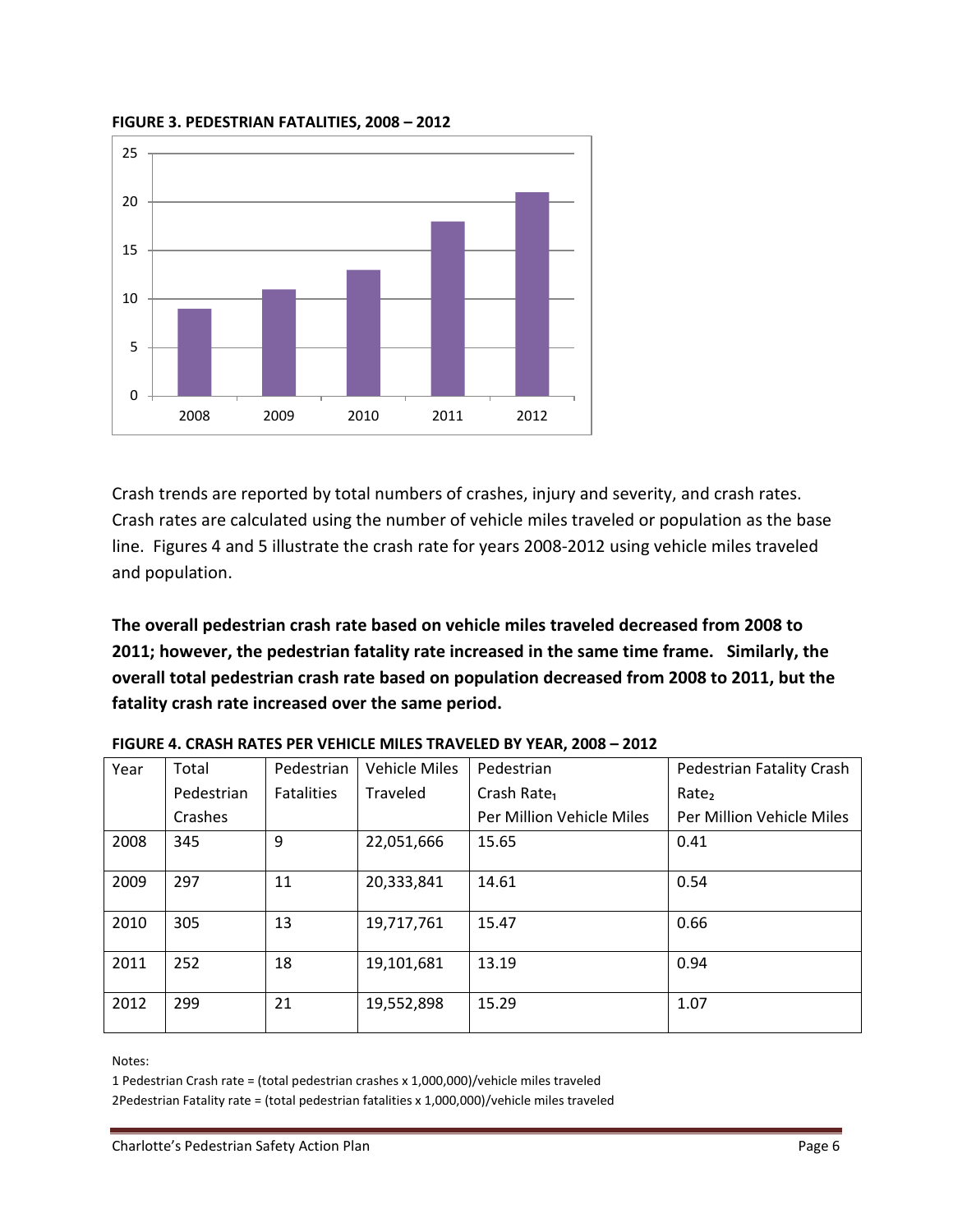

#### **FIGURE 3. PEDESTRIAN FATALITIES, 2008 – 2012**

Crash trends are reported by total numbers of crashes, injury and severity, and crash rates. Crash rates are calculated using the number of vehicle miles traveled or population as the base line. Figures 4 and 5 illustrate the crash rate for years 2008-2012 using vehicle miles traveled and population.

**The overall pedestrian crash rate based on vehicle miles traveled decreased from 2008 to 2011; however, the pedestrian fatality rate increased in the same time frame. Similarly, the overall total pedestrian crash rate based on population decreased from 2008 to 2011, but the fatality crash rate increased over the same period.** 

| Year | Total      | Pedestrian        | <b>Vehicle Miles</b> | Pedestrian                | <b>Pedestrian Fatality Crash</b> |
|------|------------|-------------------|----------------------|---------------------------|----------------------------------|
|      | Pedestrian | <b>Fatalities</b> | Traveled             | Crash Rate <sub>1</sub>   | Rate <sub>2</sub>                |
|      | Crashes    |                   |                      | Per Million Vehicle Miles | Per Million Vehicle Miles        |
| 2008 | 345        | 9                 | 22,051,666           | 15.65                     | 0.41                             |
| 2009 | 297        | 11                | 20,333,841           | 14.61                     | 0.54                             |
| 2010 | 305        | 13                | 19,717,761           | 15.47                     | 0.66                             |
| 2011 | 252        | 18                | 19,101,681           | 13.19                     | 0.94                             |
| 2012 | 299        | 21                | 19,552,898           | 15.29                     | 1.07                             |

**FIGURE 4. CRASH RATES PER VEHICLE MILES TRAVELED BY YEAR, 2008 – 2012** 

Notes:

1 Pedestrian Crash rate = (total pedestrian crashes x 1,000,000)/vehicle miles traveled

2Pedestrian Fatality rate = (total pedestrian fatalities x 1,000,000)/vehicle miles traveled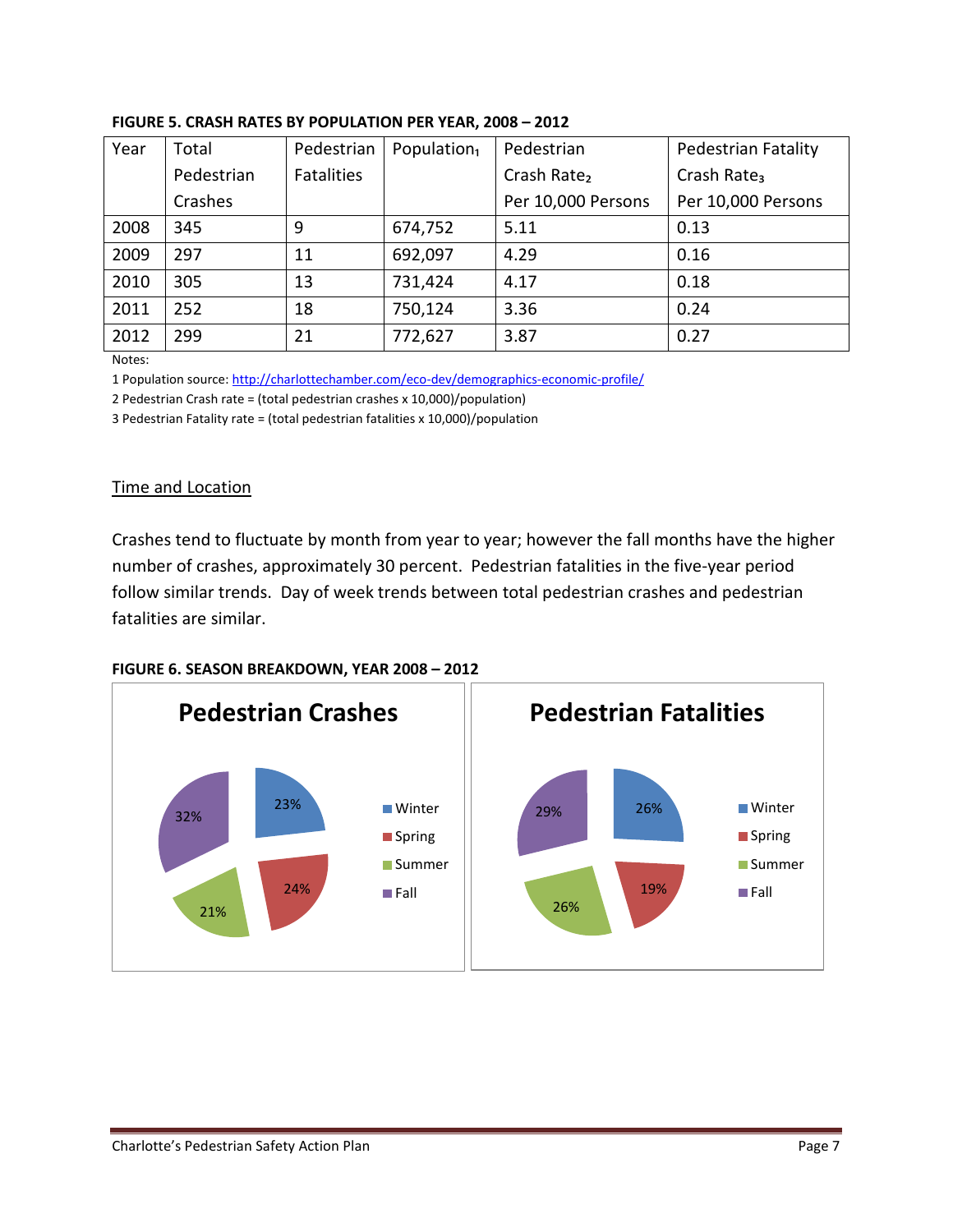| Year | Total      | Pedestrian        | Population <sub>1</sub> | Pedestrian              | Pedestrian Fatality     |
|------|------------|-------------------|-------------------------|-------------------------|-------------------------|
|      | Pedestrian | <b>Fatalities</b> |                         | Crash Rate <sub>2</sub> | Crash Rate <sub>3</sub> |
|      | Crashes    |                   |                         | Per 10,000 Persons      | Per 10,000 Persons      |
| 2008 | 345        | 9                 | 674,752                 | 5.11                    | 0.13                    |
| 2009 | 297        | 11                | 692,097                 | 4.29                    | 0.16                    |
| 2010 | 305        | 13                | 731,424                 | 4.17                    | 0.18                    |
| 2011 | 252        | 18                | 750,124                 | 3.36                    | 0.24                    |
| 2012 | 299        | 21                | 772,627                 | 3.87                    | 0.27                    |

#### **FIGURE 5. CRASH RATES BY POPULATION PER YEAR, 2008 – 2012**

Notes:

1 Population source[: http://charlottechamber.com/eco-dev/demographics-economic-profile/](http://charlottechamber.com/eco-dev/demographics-economic-profile/)

2 Pedestrian Crash rate = (total pedestrian crashes x 10,000)/population)

3 Pedestrian Fatality rate = (total pedestrian fatalities x 10,000)/population

#### Time and Location

Crashes tend to fluctuate by month from year to year; however the fall months have the higher number of crashes, approximately 30 percent. Pedestrian fatalities in the five-year period follow similar trends. Day of week trends between total pedestrian crashes and pedestrian fatalities are similar.



#### **FIGURE 6. SEASON BREAKDOWN, YEAR 2008 – 2012**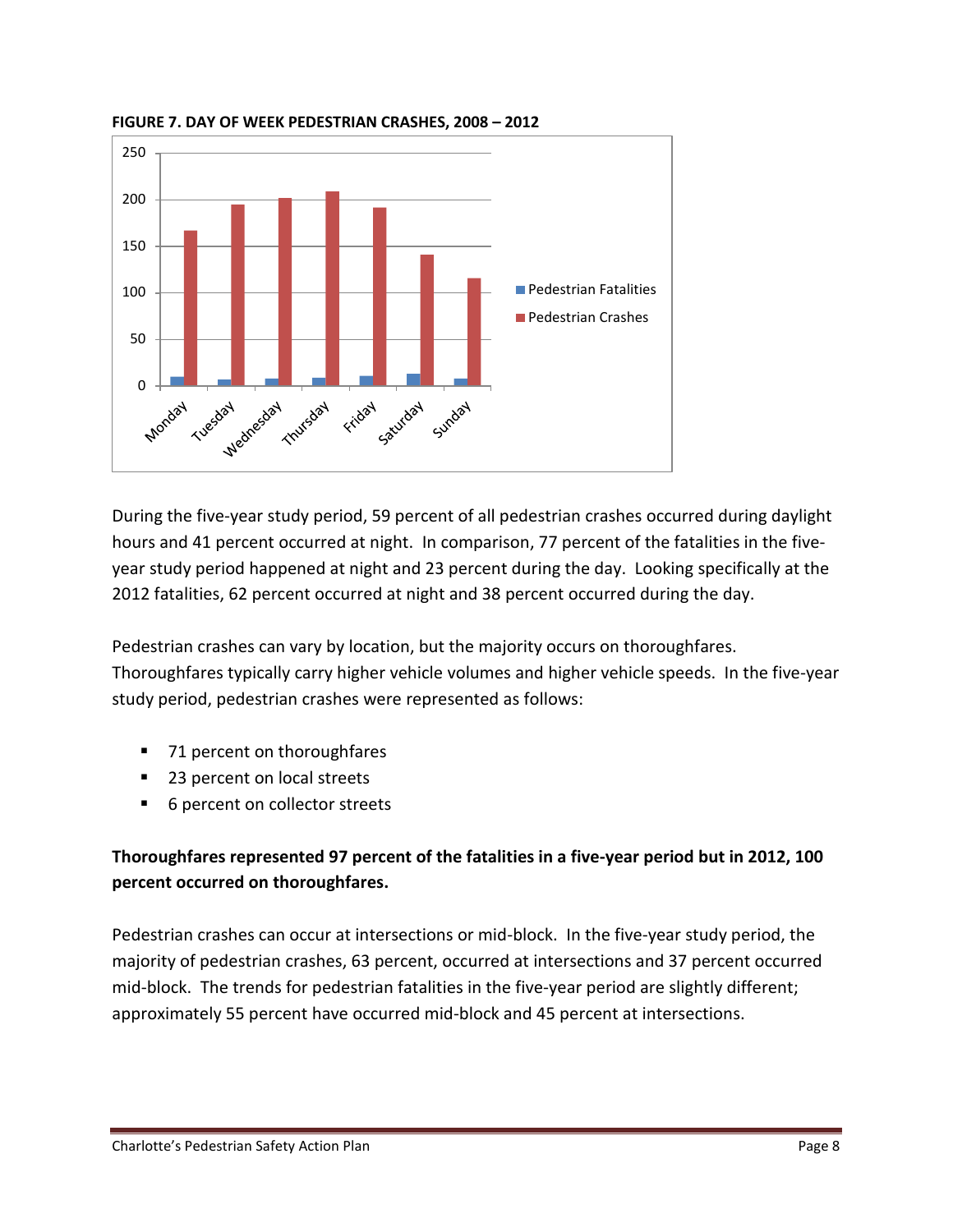

**FIGURE 7. DAY OF WEEK PEDESTRIAN CRASHES, 2008 – 2012** 

During the five-year study period, 59 percent of all pedestrian crashes occurred during daylight hours and 41 percent occurred at night. In comparison, 77 percent of the fatalities in the fiveyear study period happened at night and 23 percent during the day. Looking specifically at the 2012 fatalities, 62 percent occurred at night and 38 percent occurred during the day.

Pedestrian crashes can vary by location, but the majority occurs on thoroughfares. Thoroughfares typically carry higher vehicle volumes and higher vehicle speeds. In the five-year study period, pedestrian crashes were represented as follows:

- 71 percent on thoroughfares
- 23 percent on local streets
- 6 percent on collector streets

# **Thoroughfares represented 97 percent of the fatalities in a five-year period but in 2012, 100 percent occurred on thoroughfares.**

Pedestrian crashes can occur at intersections or mid-block. In the five-year study period, the majority of pedestrian crashes, 63 percent, occurred at intersections and 37 percent occurred mid-block. The trends for pedestrian fatalities in the five-year period are slightly different; approximately 55 percent have occurred mid-block and 45 percent at intersections.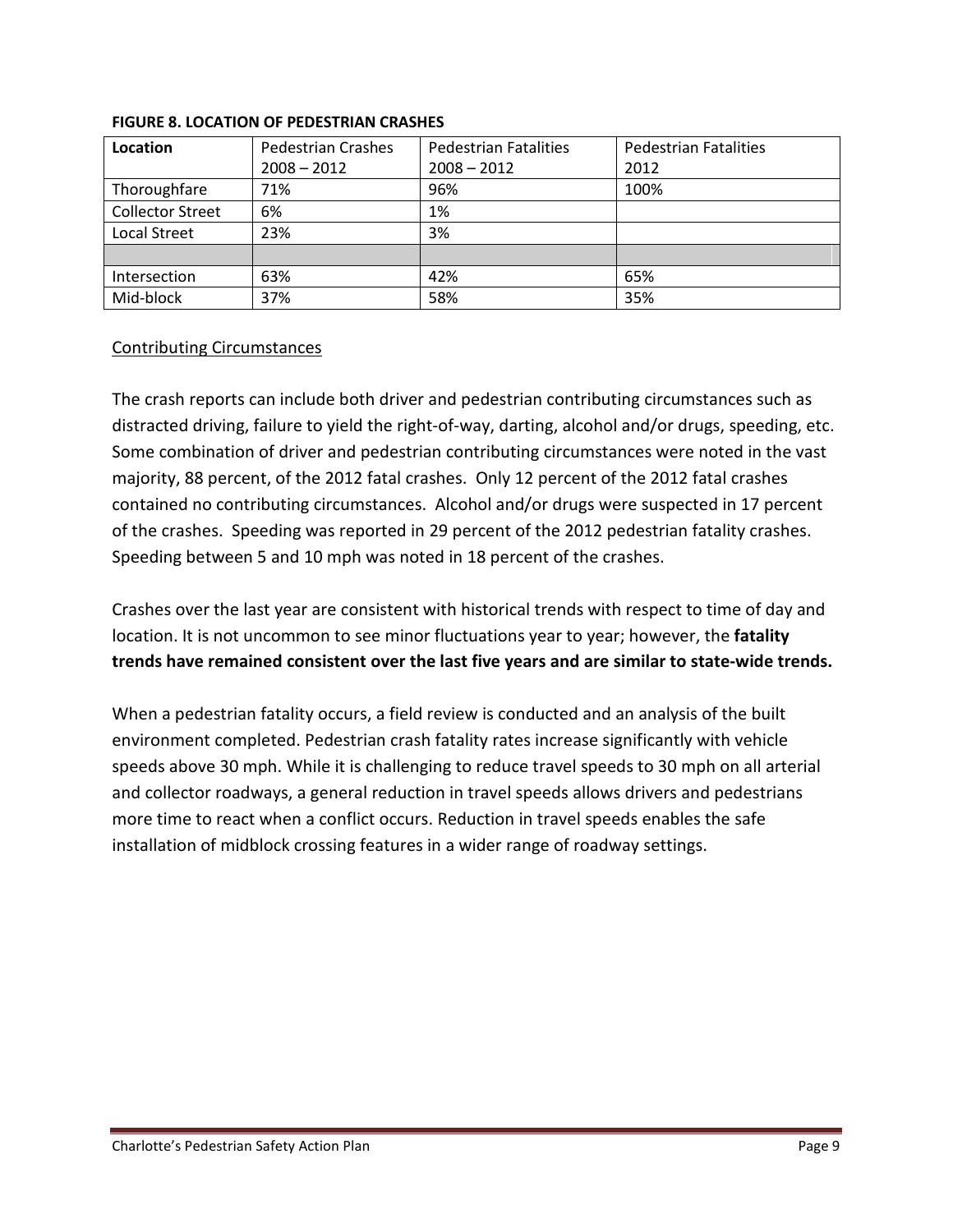| Location                | <b>Pedestrian Crashes</b> | <b>Pedestrian Fatalities</b> | <b>Pedestrian Fatalities</b> |
|-------------------------|---------------------------|------------------------------|------------------------------|
|                         | $2008 - 2012$             | $2008 - 2012$                | 2012                         |
| Thoroughfare            | 71%                       | 96%                          | 100%                         |
| <b>Collector Street</b> | 6%                        | 1%                           |                              |
| Local Street            | 23%                       | 3%                           |                              |
|                         |                           |                              |                              |
| Intersection            | 63%                       | 42%                          | 65%                          |
| Mid-block               | 37%                       | 58%                          | 35%                          |

#### **FIGURE 8. LOCATION OF PEDESTRIAN CRASHES**

#### Contributing Circumstances

The crash reports can include both driver and pedestrian contributing circumstances such as distracted driving, failure to yield the right-of-way, darting, alcohol and/or drugs, speeding, etc. Some combination of driver and pedestrian contributing circumstances were noted in the vast majority, 88 percent, of the 2012 fatal crashes. Only 12 percent of the 2012 fatal crashes contained no contributing circumstances. Alcohol and/or drugs were suspected in 17 percent of the crashes. Speeding was reported in 29 percent of the 2012 pedestrian fatality crashes. Speeding between 5 and 10 mph was noted in 18 percent of the crashes.

Crashes over the last year are consistent with historical trends with respect to time of day and location. It is not uncommon to see minor fluctuations year to year; however, the **fatality trends have remained consistent over the last five years and are similar to state-wide trends.**

When a pedestrian fatality occurs, a field review is conducted and an analysis of the built environment completed. Pedestrian crash fatality rates increase significantly with vehicle speeds above 30 mph. While it is challenging to reduce travel speeds to 30 mph on all arterial and collector roadways, a general reduction in travel speeds allows drivers and pedestrians more time to react when a conflict occurs. Reduction in travel speeds enables the safe installation of midblock crossing features in a wider range of roadway settings.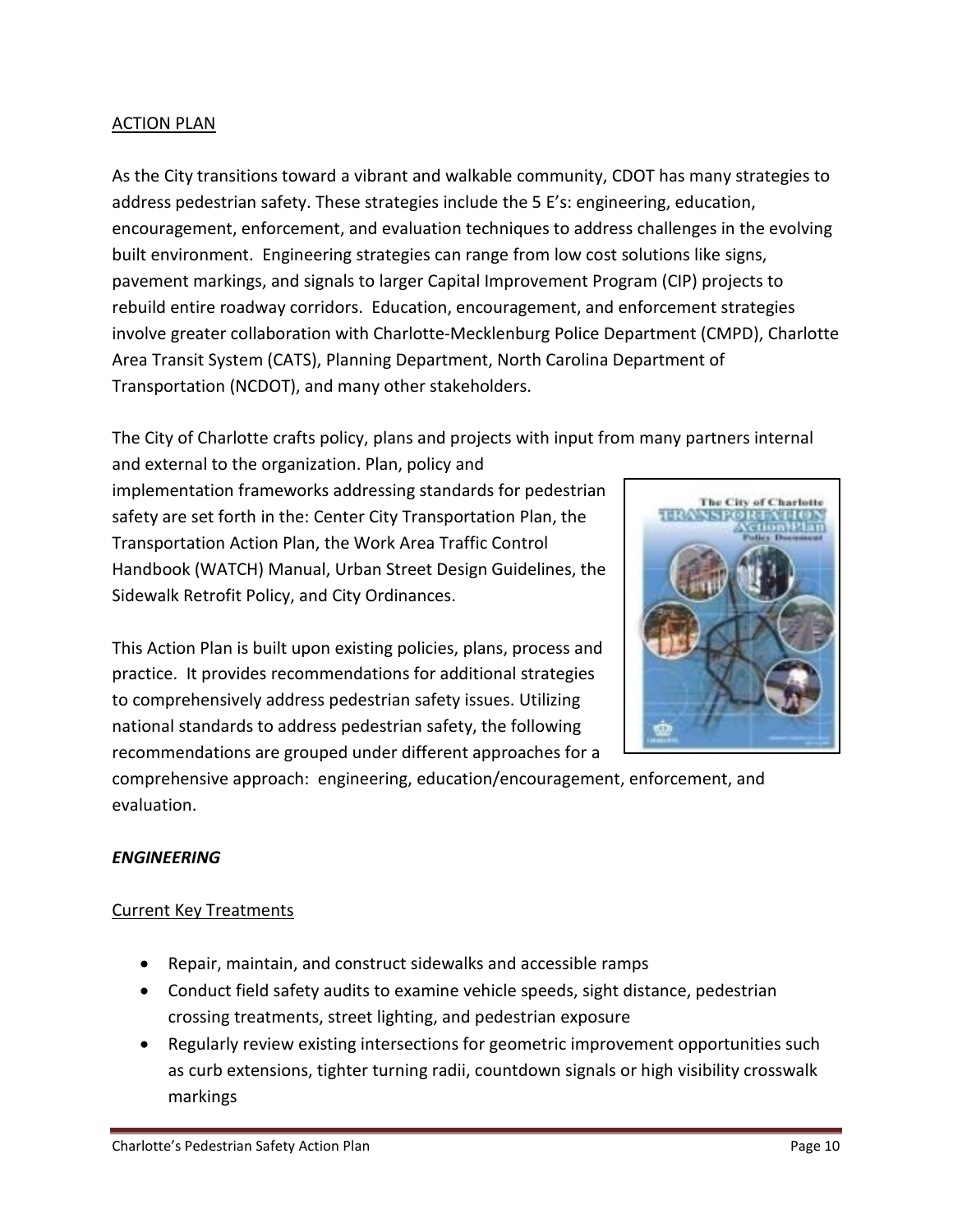#### ACTION PLAN

As the City transitions toward a vibrant and walkable community, CDOT has many strategies to address pedestrian safety. These strategies include the 5 E's: engineering, education, encouragement, enforcement, and evaluation techniques to address challenges in the evolving built environment. Engineering strategies can range from low cost solutions like signs, pavement markings, and signals to larger Capital Improvement Program (CIP) projects to rebuild entire roadway corridors. Education, encouragement, and enforcement strategies involve greater collaboration with Charlotte-Mecklenburg Police Department (CMPD), Charlotte Area Transit System (CATS), Planning Department, North Carolina Department of Transportation (NCDOT), and many other stakeholders.

The City of Charlotte crafts policy, plans and projects with input from many partners internal

and external to the organization. Plan, policy and implementation frameworks addressing standards for pedestrian safety are set forth in the: Center City Transportation Plan, the Transportation Action Plan, the Work Area Traffic Control Handbook (WATCH) Manual, Urban Street Design Guidelines, the Sidewalk Retrofit Policy, and City Ordinances.

This Action Plan is built upon existing policies, plans, process and practice. It provides recommendations for additional strategies to comprehensively address pedestrian safety issues. Utilizing national standards to address pedestrian safety, the following recommendations are grouped under different approaches for a



comprehensive approach: engineering, education/encouragement, enforcement, and evaluation.

## *ENGINEERING*

## Current Key Treatments

- Repair, maintain, and construct sidewalks and accessible ramps
- Conduct field safety audits to examine vehicle speeds, sight distance, pedestrian crossing treatments, street lighting, and pedestrian exposure
- Regularly review existing intersections for geometric improvement opportunities such as curb extensions, tighter turning radii, countdown signals or high visibility crosswalk markings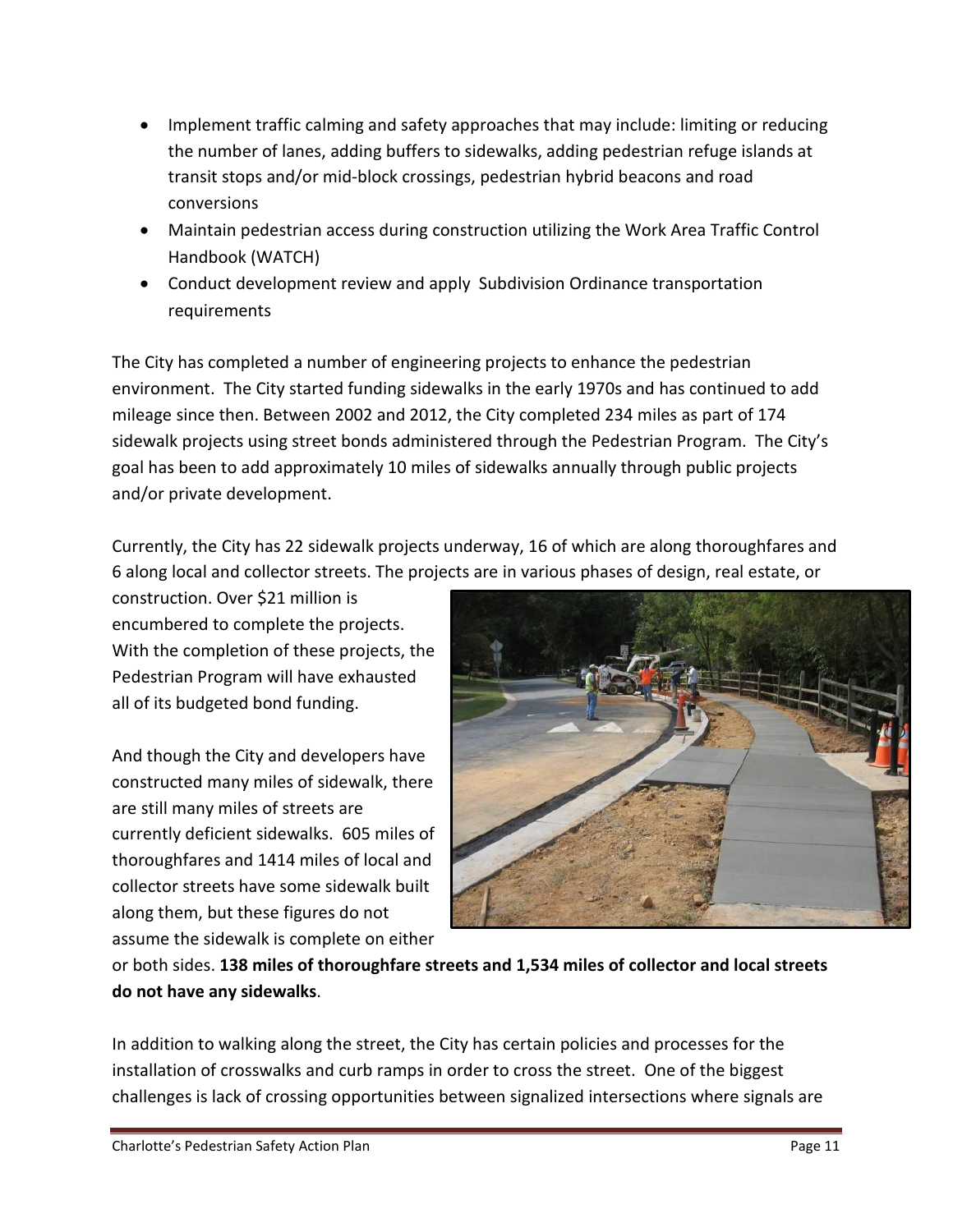- Implement traffic calming and safety approaches that may include: limiting or reducing the number of lanes, adding buffers to sidewalks, adding pedestrian refuge islands at transit stops and/or mid-block crossings, pedestrian hybrid beacons and road conversions
- Maintain pedestrian access during construction utilizing the Work Area Traffic Control Handbook (WATCH)
- Conduct development review and apply Subdivision Ordinance transportation requirements

The City has completed a number of engineering projects to enhance the pedestrian environment. The City started funding sidewalks in the early 1970s and has continued to add mileage since then. Between 2002 and 2012, the City completed 234 miles as part of 174 sidewalk projects using street bonds administered through the Pedestrian Program. The City's goal has been to add approximately 10 miles of sidewalks annually through public projects and/or private development.

Currently, the City has 22 sidewalk projects underway, 16 of which are along thoroughfares and 6 along local and collector streets. The projects are in various phases of design, real estate, or

construction. Over \$21 million is encumbered to complete the projects. With the completion of these projects, the Pedestrian Program will have exhausted all of its budgeted bond funding.

And though the City and developers have constructed many miles of sidewalk, there are still many miles of streets are currently deficient sidewalks. 605 miles of thoroughfares and 1414 miles of local and collector streets have some sidewalk built along them, but these figures do not assume the sidewalk is complete on either



or both sides. **138 miles of thoroughfare streets and 1,534 miles of collector and local streets do not have any sidewalks**.

In addition to walking along the street, the City has certain policies and processes for the installation of crosswalks and curb ramps in order to cross the street. One of the biggest challenges is lack of crossing opportunities between signalized intersections where signals are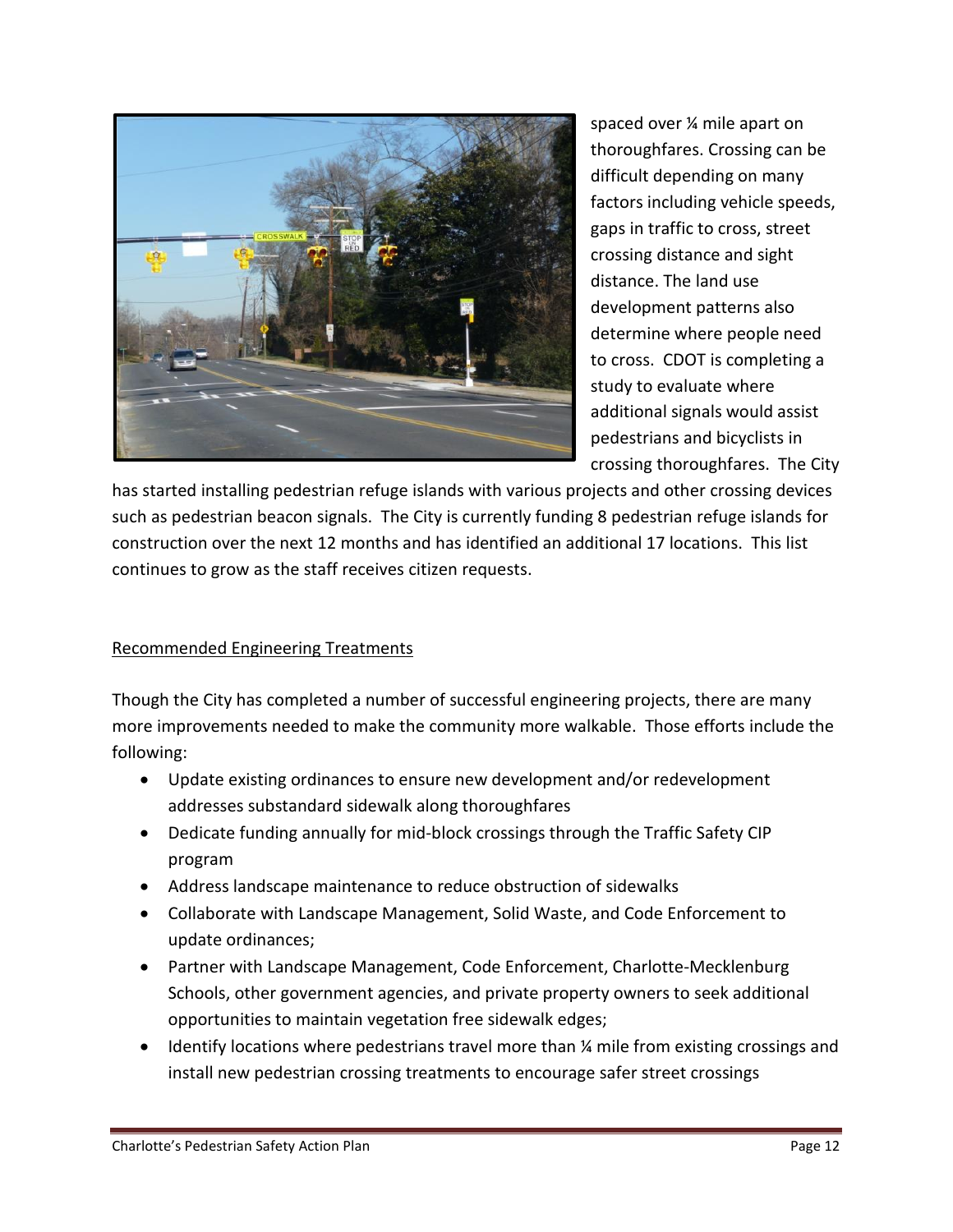

spaced over ¼ mile apart on thoroughfares. Crossing can be difficult depending on many factors including vehicle speeds, gaps in traffic to cross, street crossing distance and sight distance. The land use development patterns also determine where people need to cross. CDOT is completing a study to evaluate where additional signals would assist pedestrians and bicyclists in crossing thoroughfares. The City

has started installing pedestrian refuge islands with various projects and other crossing devices such as pedestrian beacon signals. The City is currently funding 8 pedestrian refuge islands for construction over the next 12 months and has identified an additional 17 locations. This list continues to grow as the staff receives citizen requests.

## Recommended Engineering Treatments

Though the City has completed a number of successful engineering projects, there are many more improvements needed to make the community more walkable. Those efforts include the following:

- Update existing ordinances to ensure new development and/or redevelopment addresses substandard sidewalk along thoroughfares
- Dedicate funding annually for mid-block crossings through the Traffic Safety CIP program
- Address landscape maintenance to reduce obstruction of sidewalks
- Collaborate with Landscape Management, Solid Waste, and Code Enforcement to update ordinances;
- Partner with Landscape Management, Code Enforcement, Charlotte-Mecklenburg Schools, other government agencies, and private property owners to seek additional opportunities to maintain vegetation free sidewalk edges;
- Identify locations where pedestrians travel more than  $\frac{1}{4}$  mile from existing crossings and install new pedestrian crossing treatments to encourage safer street crossings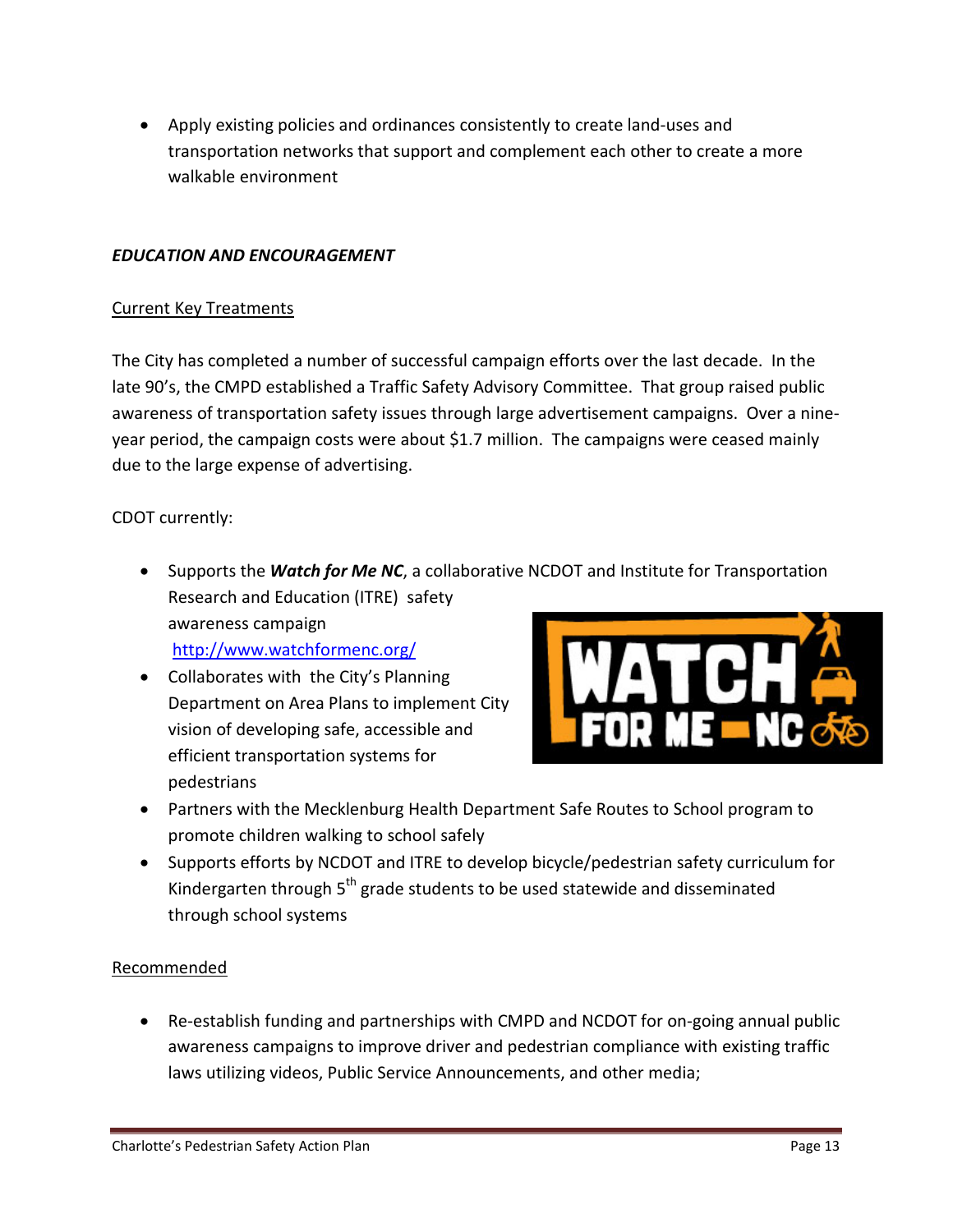• Apply existing policies and ordinances consistently to create land-uses and transportation networks that support and complement each other to create a more walkable environment

## *EDUCATION AND ENCOURAGEMENT*

#### Current Key Treatments

The City has completed a number of successful campaign efforts over the last decade. In the late 90's, the CMPD established a Traffic Safety Advisory Committee. That group raised public awareness of transportation safety issues through large advertisement campaigns. Over a nineyear period, the campaign costs were about \$1.7 million. The campaigns were ceased mainly due to the large expense of advertising.

## CDOT currently:

- Supports the *Watch for Me NC*, a collaborative NCDOT and Institute for Transportation Research and Education (ITRE) safety awareness campaign <http://www.watchformenc.org/>
- Collaborates with the City's Planning Department on Area Plans to implement City vision of developing safe, accessible and efficient transportation systems for pedestrians



- Partners with the Mecklenburg Health Department Safe Routes to School program to promote children walking to school safely
- Supports efforts by NCDOT and ITRE to develop bicycle/pedestrian safety curriculum for Kindergarten through 5<sup>th</sup> grade students to be used statewide and disseminated through school systems

## Recommended

• Re-establish funding and partnerships with CMPD and NCDOT for on-going annual public awareness campaigns to improve driver and pedestrian compliance with existing traffic laws utilizing videos, Public Service Announcements, and other media;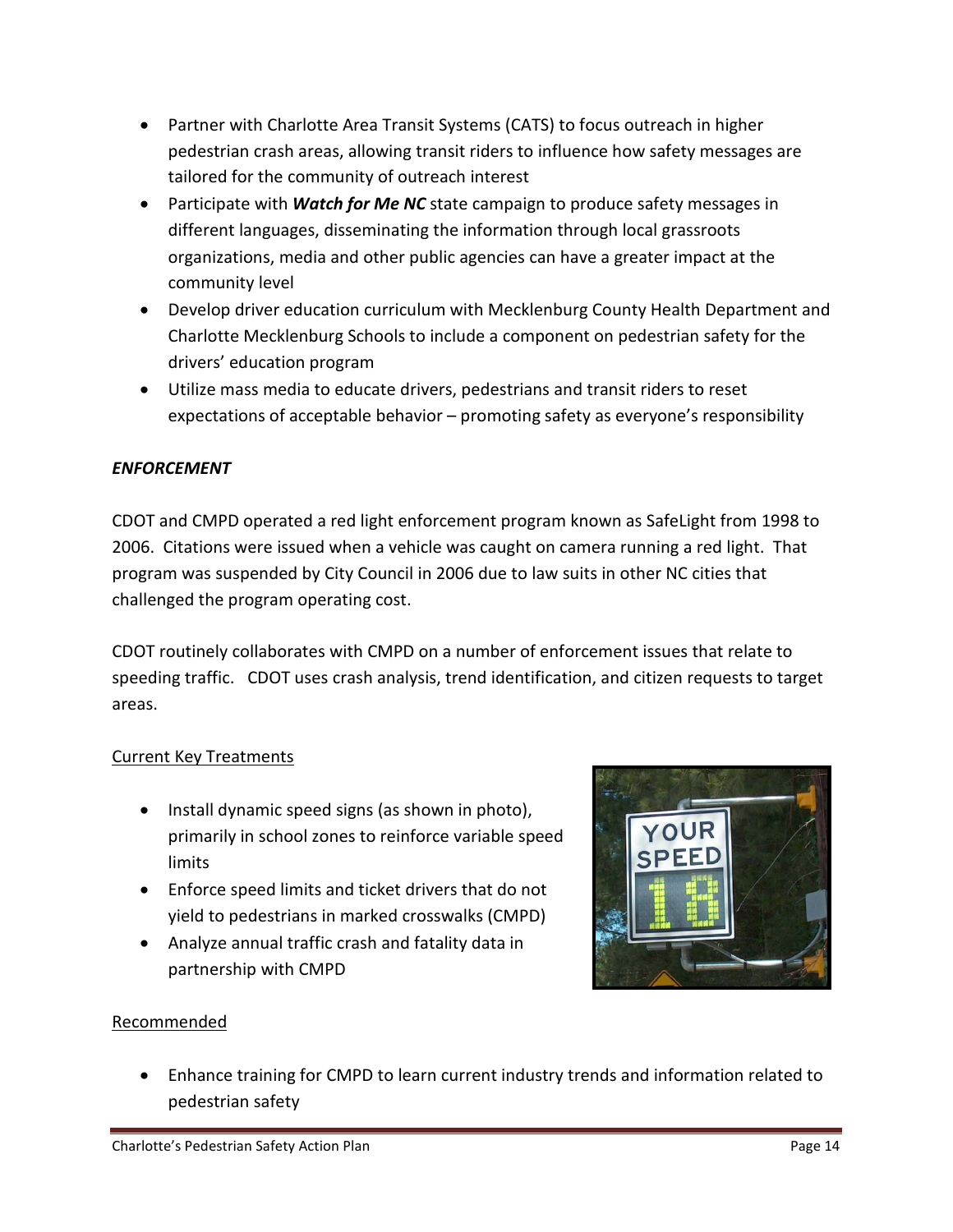- Partner with Charlotte Area Transit Systems (CATS) to focus outreach in higher pedestrian crash areas, allowing transit riders to influence how safety messages are tailored for the community of outreach interest
- Participate with *Watch for Me NC* state campaign to produce safety messages in different languages, disseminating the information through local grassroots organizations, media and other public agencies can have a greater impact at the community level
- Develop driver education curriculum with Mecklenburg County Health Department and Charlotte Mecklenburg Schools to include a component on pedestrian safety for the drivers' education program
- Utilize mass media to educate drivers, pedestrians and transit riders to reset expectations of acceptable behavior – promoting safety as everyone's responsibility

# *ENFORCEMENT*

CDOT and CMPD operated a red light enforcement program known as SafeLight from 1998 to 2006. Citations were issued when a vehicle was caught on camera running a red light. That program was suspended by City Council in 2006 due to law suits in other NC cities that challenged the program operating cost.

CDOT routinely collaborates with CMPD on a number of enforcement issues that relate to speeding traffic. CDOT uses crash analysis, trend identification, and citizen requests to target areas.

# Current Key Treatments

- Install dynamic speed signs (as shown in photo), primarily in school zones to reinforce variable speed limits
- Enforce speed limits and ticket drivers that do not yield to pedestrians in marked crosswalks (CMPD)
- Analyze annual traffic crash and fatality data in partnership with CMPD



# Recommended

• Enhance training for CMPD to learn current industry trends and information related to pedestrian safety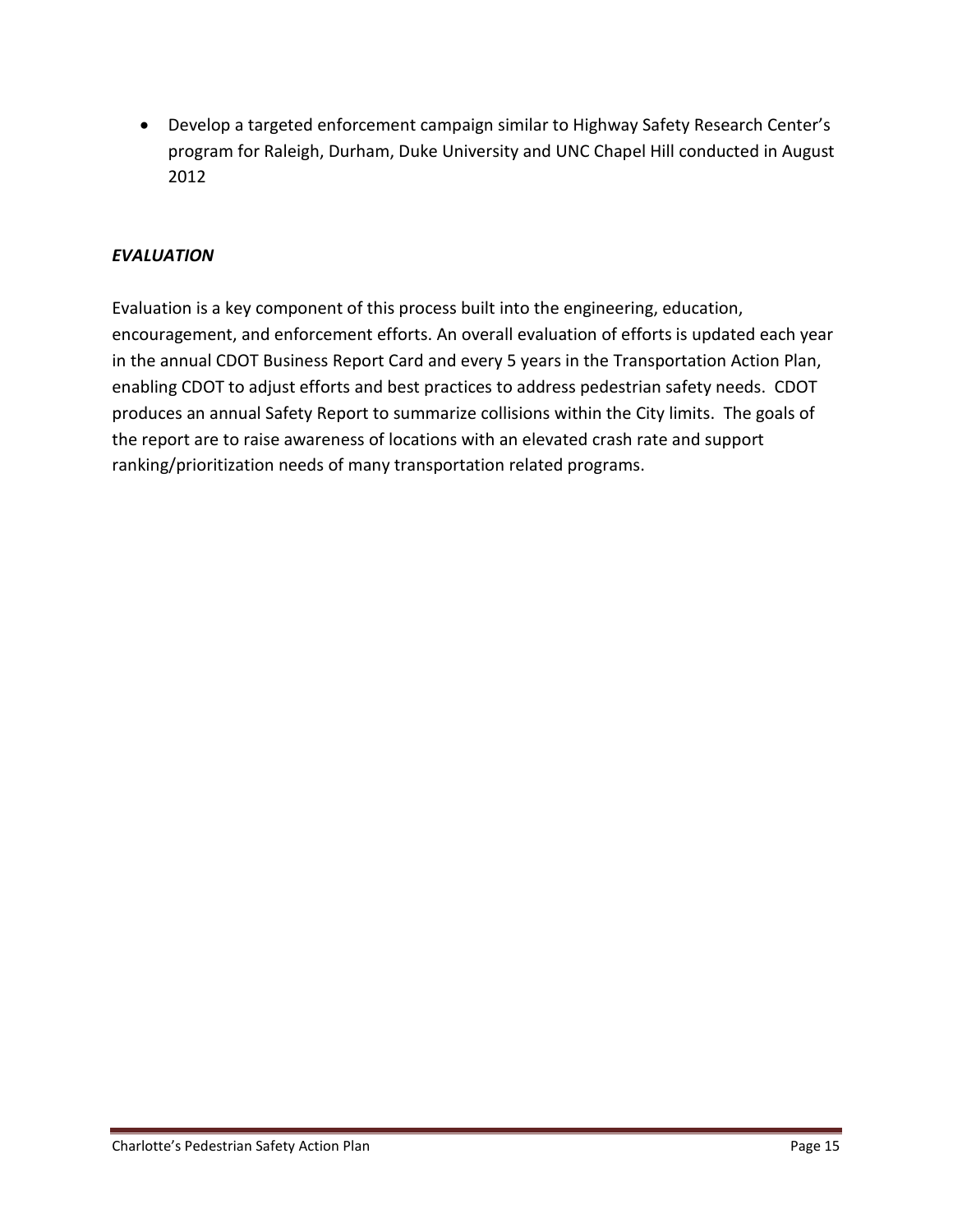• Develop a targeted enforcement campaign similar to Highway Safety Research Center's program for Raleigh, Durham, Duke University and UNC Chapel Hill conducted in August 2012

## *EVALUATION*

Evaluation is a key component of this process built into the engineering, education, encouragement, and enforcement efforts. An overall evaluation of efforts is updated each year in the annual CDOT Business Report Card and every 5 years in the Transportation Action Plan, enabling CDOT to adjust efforts and best practices to address pedestrian safety needs. CDOT produces an annual Safety Report to summarize collisions within the City limits. The goals of the report are to raise awareness of locations with an elevated crash rate and support ranking/prioritization needs of many transportation related programs.